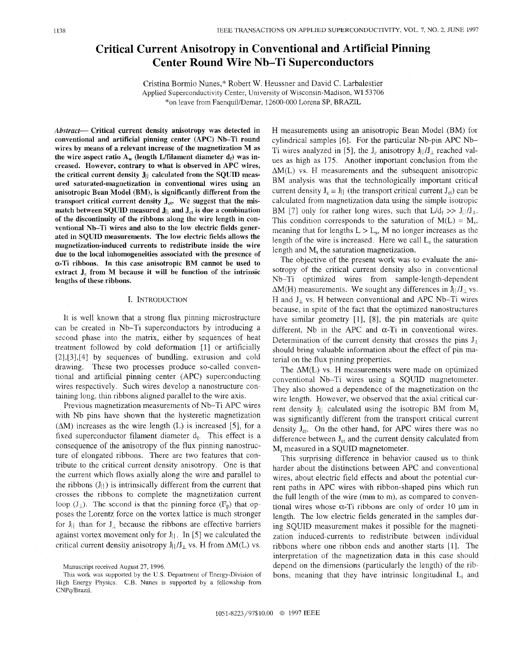# **Critical Current Anisotropy in Conventional and Artificial Pinning Center Round Wire Nb-Ti Superconductors**

Cristina Bormio Nunes," Robert W. Heussner and David C. Larbalestier Applied Superconductivity Center, University of Wisconsin-Madison, WI 53706 \*on leave from FaenquiUDemar, 12600-000 Lorena SP, BRAZIL

Abstract- **Critical current density anisotropy was detected in conventional and artificial pinning center (APC) Nb-Ti round wires by means of a relevant increase of the magnetization M as**  the wire aspect ratio  $A_w$  (length L/filament diameter  $d_f$ ) was in**creased. However, contrary to what is observed in APC wires,**  the critical current density  $J_{\parallel}$  calculated from the SQUID meas**ured saturated-magnetization in conventional wires using an anisotropic Bean Model (BM), is significantly different from the**  transport critical current density  $J_{ct}$ . We suggest that the mis**match between SQUID measured J<sub>||</sub> and J<sub>ct</sub> is due a combination of the discontinuity of the ribbons along the wire length in conventional Nb-Ti wires and also to the low electric fields generated in SQUID measurements. The low electric fields allows the magnetization-induced currents to redistribute inside the wire due to the local inhomogeneities associated with the presence of**  a-Ti **ribbons. In this case anisotropic BM cannot be used to**  extract J<sub>c</sub> from M because it will be function of the intrinsic **lengths of these ribbons.** 

## I. INTRODUCTION

It is well known that a strong flux pinning microstructure can be created in Nb-Ti superconductors by introducing a second phase into the matrix, either by sequences of heat treatment followed by cold deformation [ 11 or artificially [2],[3],[4] by sequences of bundling, extrusion and cold drawing. These two processes produce so-called conventional and artificial pinning center (APC) superconducting wires respectively. Such wires develop a nanostructure containing long, thin ribbons aligned parallel to the wire axis.

Previous magnetization measurements of Nb-Ti APC wires with Nb pins have shown that the hysteretic magnetization  $( \Delta M)$  increases as the wire length  $(L)$  is increased [5], for a fixed superconductor filament diameter  $d_f$ . This effect is a consequence of the anisotropy of the flux pinning nanostructure of elongated ribbons. There are two features that contribute to the critical current density anisotropy. One is that the current which flows axially along the wire and parallel to the ribbons  $(J_{\parallel})$  is intrinsically different from the current that crosses the ribbons to complete the magnetization current loop  $(J_{\perp})$ . The second is that the pinning force  $(F_p)$  that opposes the Lorentz force on the vortex lattice is much stronger for  $J_{\parallel}$  than for  $J_{\perp}$  because the ribbons are effective barriers against vortex movement only for  $J_{\parallel}$ . In [5] we calculated the critical current density anisotropy  $J||/J_{\perp}$  vs. H from  $\Delta M(L)$  vs.

H measurements using an anisotropic Bean Model (BM) for cylindrical samples [6]. For the particular Nb-pin APC Nb-Ti wires analyzed in [5], the  $J_c$  anisotropy  $J_l / J_{\perp}$  reached values as high as 175. Another important conclusion from the  $\Delta M(L)$  vs. H measurements and the subsequent anisotropic BM analysis was that the technologically important critical current density  $J_c = J_H$  (the transport critical current  $J_{ct}$ ) can be calculated from magnetization data using the simple isotropic BM [7] only for rather long wires, such that  $L/d_f >> J||/J_1$ . This condition corresponds to the saturation of  $M(L) = M_s$ , meaning that for lengths  $L > L_s$ , M no longer increases as the length of the wire is increased. Here we call  $L<sub>s</sub>$  the saturation length and M, the saturation magnetization.

The objective of the present work was to evaluate the anisotropy of the critical current density also in conventional Nb-Ti optimized wires from sample-length-dependent  $\Delta M(H)$  measurements. We sought any differences in  $J||/J_{\perp}$  vs. H and  $J_{\perp}$  vs. H between conventional and APC Nb-Ti wires because, in spite of the fact that the optimized nanostructures have similar geometry [l], **[8],** the pin materials are quite different, Nb in the APC and  $\alpha$ -Ti in conventional wires. Determination of the current density that crosses the pins  $J_{\perp}$ should bring valuable information about the effect of pin material on the flux pinning properties.

The  $\Delta M(L)$  vs. H measurements were made on optimized conventional Nb-Ti wires using a SQUID magnetometer. They also showed a dependence of the magnetization on the wire length. However, we observed that the axial critical current density J<sub>II</sub> calculated using the isotropic BM from  $M_s$ was significantly different from the transport critical current density  $J_{ct}$ . On the other hand, for APC wires there was no difference between  $J_{ct}$  and the current density calculated from M, measured in a SQUID magnetometer.

This surprising difference in behavior caused us to think harder about the distinctions between APC and conventional wires, about electric field effects and about the potential current paths in APC wires with ribbon-shaped pins which run the full length of the wire (mm to m), as compared to conventional wires whose  $\alpha$ -Ti ribbons are only of order 10  $\mu$ m in length. The low electric fields generated in the samples during SQUID measurement makes it possible for the magnetization induced-currents to redistribute between individual ribbons where one ribbon ends and another starts [l]. The interpretation of the magnetization data in this case should depend on the dimensions (particularly the length) of the ribbons, meaning that they have intrinsic longitudinal  $L_i$  and

Manuscript received August 27, 1996.

This work was supported by the U.S. Department of Energy-Division of High Energy Physics. C.B. Nunes is supported by a fellowship from CNPq/Brazil.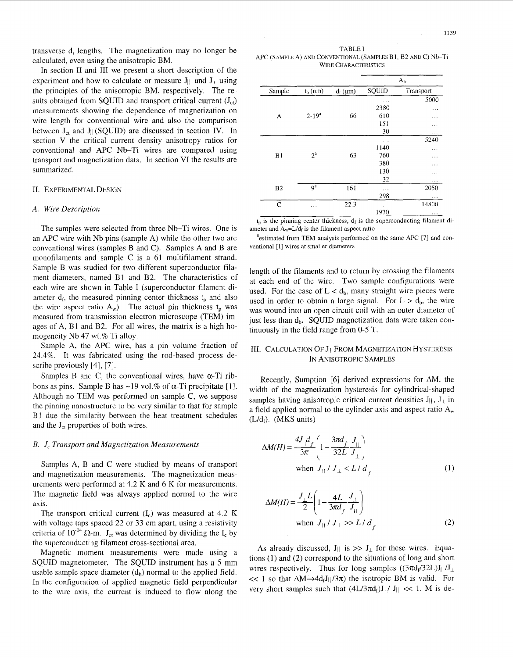In section II and III we present a short description of the experiment and how to calculate or measure  $J_{\parallel}$  and  $J_{\perp}$  using the principles of the anisotropic BM, respectively. The results obtained from SQUID and transport critical current  $(J_{ct})$ measurements showing the dependence of magnetization on wire length for conventional wire and also the comparison between  $J_{ct}$  and  $J_{||} (SQUID)$  are discussed in section IV. In section V the critical current density anisotropy ratios for conventional and APC Nb-Ti wires are compared using transport and magnetization data. In section VI the results are summarized.

## II. EXPERIMENTAL DESIGN

### *A. Wire Description*

The samples were selected from three Nb-Ti wires. One is an APC wire with Nb pins (sample A) while the other two are conventional wires (samples B and C). Samples A and B are monofilaments and sample C is a 61 multifilament strand. Sample B was studied for two different superconductor filament diameters, named Bl and B2. The characteristics of each wire are shown in Table I (superconductor filament diameter  $d_f$ , the measured pinning center thickness  $t_p$  and also the wire aspect ratio  $A_w$ ). The actual pin thickness  $t_p$  was measured from transmission electron microscope (TEM) images of A, B1 and B2. For all wires, the matrix is a high homogeneity Nb 47 wt.% Ti alloy.

Sample A, the APC wire, has a pin volume fraction of 24.4%. It was fabricated using the rod-based process describe previously [4], [7].

Samples B and C, the conventional wires, have  $\alpha$ -Ti ribbons as pins. Sample B has  $\sim$ 19 vol.% of  $\alpha$ -Ti precipitate [1]. Although no TEM was performed on sample C, we suppose the pinning nanostructure to be very similar to that for sample B1 due the similarity between the heat treatment schedules and the  $J_{ct}$  properties of both wires.

## *B. J, Trunsport and Magnetization Measurements*

Samples A, B and C were studied by means of transport and magnetization measurements. The magnetization measurements were performed at 4.2 K and 6 K for measurements. The magnetic field was always applied normal to the wire axis.

The transport critical current  $(I_c)$  was measured at 4.2 K with voltage taps spaced 22 or 33 cm apart, using a resistivity criteria of  $10^{-14}$   $\Omega$ -m. J<sub>ct</sub> was determined by dividing the I<sub>c</sub> by the superconducting filament cross-sectional area.

Magnetic moment measurements were made using a SQUID magnetometer. The SQUID instrument has a *5* mm usable sample space diameter  $(d_b)$  normal to the applied field. In the configuration of applied magnetic field perpendicular to the wire axis, the current is induced to flow along the

TABLE I APC (SAMPLE **A)** AND CONVENTIONAL (SAMPLES B 1, B2 AND C) Nb-Ti WIRE CHARACTERISTICS

| Sample         | $t_p$ (nm)     | $d_f$ ( $\mu$ m) | $A_w$    |           |
|----------------|----------------|------------------|----------|-----------|
|                |                |                  | SQUID    | Transport |
|                |                |                  | .        | 5000      |
|                |                |                  | 2380     | .         |
| A              | $2 - 19^{a}$   | 66               | 610      | $\cdots$  |
|                |                |                  | 151      | .         |
|                |                |                  | 30       | .         |
|                | $2^{\rm a}$    | 63               | $\cdots$ | 5240      |
|                |                |                  | 1140     | $\cdots$  |
| B1             |                |                  | 760      | .         |
|                |                |                  | 380      | .         |
|                |                |                  | 130      | .         |
|                |                |                  | 32       | .         |
| B <sub>2</sub> | 9 <sup>4</sup> | 161              | $\cdots$ | 2050      |
|                |                |                  | 298      | .         |
| $\mathbf C$    | $\ldots$       | 22.3             | .        | 14800     |
|                |                |                  | 1970     | $\cdots$  |

 $t<sub>p</sub>$  is the pinning center thickness,  $d<sub>f</sub>$  is the superconducting filament diameter and  $A_w=L/d_f$  is the filament aspect ratio

<sup>a</sup>estimated from TEM analysis performed on the same APC [7] and conventional [1] wires at smaller diameters

length of the filaments and to return by crossing the filaments at each end of the wire. Two sample configurations were used. For the case of  $L < d_b$ , many straight wire pieces were used in order to obtain a large signal. For  $L > d_b$ , the wire was wound into an open circuit coil with an outer diameter of just less than  $d_b$ . SQUID magnetization data were taken continuously in the field range from 0-5 T.

## III. CALCULATION OF J<sub>II</sub> FROM MAGNETIZATION HYSTERESIS IN ANISOTROPIC SAMPLES

Recently, Sumption [6] derived expressions for  $\Delta M$ , the width of the magnetization hysteresis for cylindrical-shaped samples having anisotropic critical current densities  $J_{\parallel}$ ,  $J_{\perp}$  in a field applied normal to the cylinder axis and aspect ratio  $A<sub>w</sub>$  $(L/d_f)$ . (MKS units)

$$
\Delta M(H) = \frac{4J_{||}d_f}{3\pi} \left( 1 - \frac{3\pi d_f}{32L} \frac{J_{||}}{J_{\perp}} \right)
$$
  
when  $J_{||}/J_{\perp} < L/d_{f}$  (1)

$$
\Delta M(H) = \frac{J_{\perp}L}{2} \left( 1 - \frac{4L}{3\pi d_f} \frac{J_{\perp}}{J_{\parallel}} \right)
$$
  
when  $J_{\parallel} / J_{\perp} >> L / d_f$  (2)

As already discussed, J<sub>||</sub> is  $>> J_{\perp}$  for these wires. Equations (1) and (2) correspond to the situations of long and short wires respectively. Thus for long samples  $((3\pi d_f/32L)J_{||}/J_{\perp})$  $<< 1$  so that  $\Delta M \rightarrow 4d_f J || / 3\pi$ ) the isotropic BM is valid. For very short samples such that  $(4L/3\pi d_f)J_{\perp}/J_{\parallel} \ll 1$ , M is de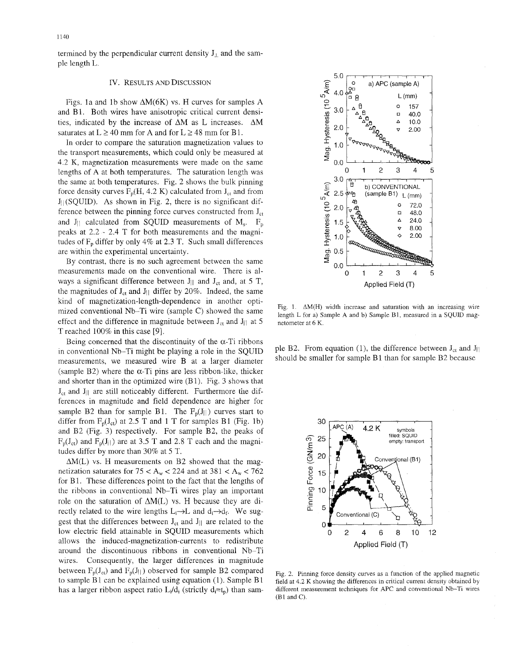termined by the perpendicular current density  $J_{\perp}$  and the sample length L.

### Iv. RESULTS AND DISCUSSION

Figs. la and lb show AM(6K) vs. H curves for samples **A**  and BI. Both wires have anisotropic critical current densities, indicated by the increase of AM as L increases. **AM**  saturates at  $L \ge 40$  mm for A and for  $L \ge 48$  mm for B1.

In order to compare the saturation magnetization values to the transport measurements, which could only be measured at 4.2 K, magnetization measurements were made on the same lengths of **A** at both temperatures. The saturation length was the same at both temperatures. Fig. 2 shows the bulk pinning force density curves  $F_p(H, 4.2 K)$  calculated from  $J_{ct}$  and from  $J_{\parallel}$  (SQUID). As shown in Fig. 2, there is no significant difference between the pinning force curves constructed from  $J_{ct}$ and  $J_{\parallel}$  calculated from SQUID measurements of  $M_s$ .  $F_p$ peaks at 2.2 - 2.4 T for both measurements and the magnitudes of  $F_p$  differ by only 4% at 2.3 T. Such small differences are within the experimental uncertainty.

By contrast, there is no such agreement between the same measurements made on the conventional wire. There is always a significant difference between  $J_{\parallel}$  and  $J_{ct}$  and, at 5 T, the magnitudes of  $J_{ct}$  and  $J_{||}$  differ by 20%. Indeed, the same kind of magnetization-length-dependence in another optimized conventional Nb-Ti wire (sample  $C$ ) showed the same effect and the difference in magnitude between  $J_{cr}$  and  $J_{||}$  at 5 T reached 100% in this case [9].

Being concerned that the discontinuity of the  $\alpha$ -Ti ribbons in conventional Nb-Ti might be playing a role in the SQUID measurements, we measured wire B at a larger diameter (sample B2) where the  $\alpha$ -Ti pins are less ribbon-like, thicker and shorter than in the optimized wire (Bl). Fig. 3 shows that  $J_{ct}$  and  $J_{||}$  are still noticeably different. Furthermore the differences in magnitude and field dependence are higher for sample B2 than for sample B1. The  $F_p(J||)$  curves start to differ from  $F_p(J_{ct})$  at 2.5 T and 1 T for samples B1 (Fig. 1b) and B2 (Fig. 3) respectively. For sample B2, the peaks of  $F_p(J_{ct})$  and  $F_p(J_H)$  are at 3.5 T and 2.8 T each and the magnitudes differ by more than 30% at 5 T.

 $\Delta M(L)$  vs. H measurements on B2 showed that the magnetization saturates for  $75 < A_w < 224$  and at  $381 < A_w < 762$ for B1. These differences point to the fact that the lengths of the ribbons in conventional Nb-Ti wires play an important role on the saturation of  $\Delta M(L)$  vs. H because they are directly related to the wire lengths  $L_i\rightarrow L$  and  $d_i\rightarrow d_f$ . We suggest that the differences between  $J_{ct}$  and  $J_{||}$  are related to the low electric field attainable in SQUID measurements which allows the induced-magnetization-currents to redistribute around the discontinuous ribbons in conventional Nb-Ti wires. Consequently, the larger differences in magnitude between  $F_p(J_{cf})$  and  $F_p(J_{\parallel})$  observed for sample B2 compared to sample B1 can be explained using equation  $(1)$ . Sample B1 has a larger ribbon aspect ratio  $L_i/d_i$  (strictly  $d_i = t_p$ ) than sam-



Fig. 1.  $\Delta M(H)$  width increase and saturation with an increasing wire length L for a) Sample A and b) Sample B1, measured in a SQUID magnetometer at 6 K.

ple B2. From equation (1), the difference between  $J_{ct}$  and  $J_{||}$ should be smaller for sample B1 than for sample B2 because



Fig. 2. Pinning force density curves as a function of the applied magnetic field at 4.2 K showing the differences in critical current density obtained by different measurement techniques for APC and conventional Nb-Ti wires  $(B1 \text{ and } C)$ .